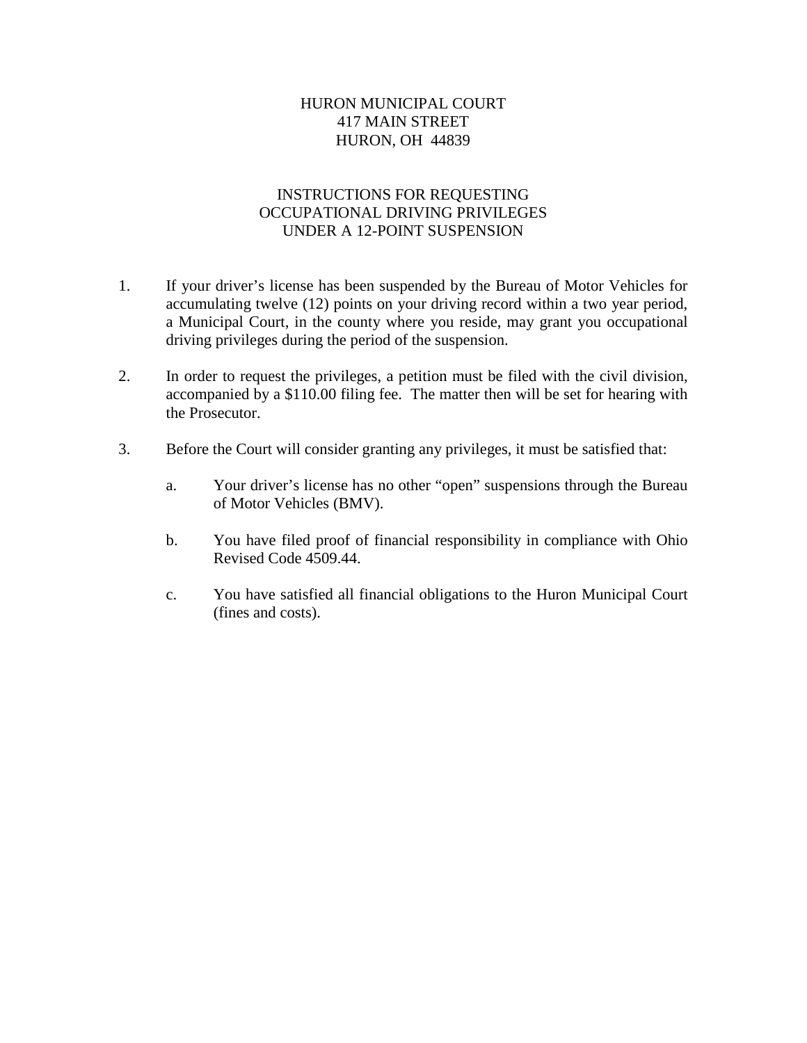## HURON MUNICIPAL COURT 417 MAIN STREET HURON, OH 44839

## INSTRUCTIONS FOR REQUESTING OCCUPATIONAL DRIVING PRIVILEGES UNDER A 12-POINT SUSPENSION

- 1. If your driver's license has been suspended by the Bureau of Motor Vehicles for accumulating twelve (12) points on your driving record within a two year period, a Municipal Court, in the county where you reside, may grant you occupational driving privileges during the period of the suspension.
- 2. In order to request the privileges, a petition must be filed with the civil division, accompanied by a \$110.00 filing fee. The matter then will be set for hearing with the Prosecutor.
- 3. Before the Court will consider granting any privileges, it must be satisfied that:
	- a. Your driver's license has no other "open" suspensions through the Bureau of Motor Vehicles (BMV).
	- b. You have filed proof of financial responsibility in compliance with Ohio Revised Code 4509.44.
	- c. You have satisfied all financial obligations to the Huron Municipal Court (fines and costs).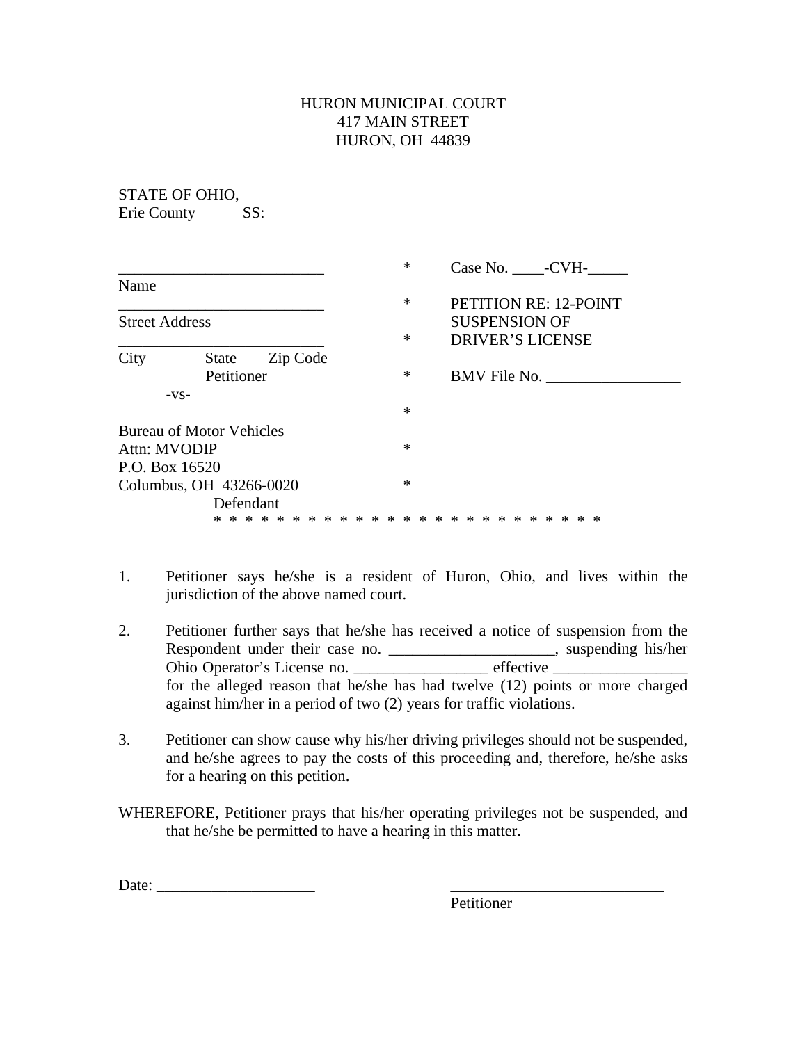## HURON MUNICIPAL COURT 417 MAIN STREET HURON, OH 44839

STATE OF OHIO, Erie County SS:

\* Case No. \_\_\_\_\_-CVH-\_\_\_\_\_\_ Name \_\_\_\_\_\_\_\_\_\_\_\_\_\_\_\_\_\_\_\_\_\_\_\_\_\_ \* PETITION RE: 12-POINT Street Address SUSPENSION OF \_\_\_\_\_\_\_\_\_\_\_\_\_\_\_\_\_\_\_\_\_\_\_\_\_\_ \* DRIVER'S LICENSE City State Zip Code Petitioner \* BMV File No. -vs- \* Bureau of Motor Vehicles Attn: MVODIP  $*$ P.O. Box 16520 Columbus, OH 43266-0020 \* Defendant \* \* \* \* \* \* \* \* \* \* \* \* \* \* \* \* \* \* \* \* \* \* \* \* \*

- 1. Petitioner says he/she is a resident of Huron, Ohio, and lives within the jurisdiction of the above named court.
- 2. Petitioner further says that he/she has received a notice of suspension from the Respondent under their case no. \_\_\_\_\_\_\_\_\_\_\_\_\_\_\_\_\_\_\_\_\_\_, suspending his/her Ohio Operator's License no. \_\_\_\_\_\_\_\_\_\_\_\_\_\_\_\_\_\_\_ effective \_\_\_\_\_\_\_\_\_\_\_\_\_\_\_\_\_\_\_\_\_\_ for the alleged reason that he/she has had twelve (12) points or more charged against him/her in a period of two (2) years for traffic violations.
- 3. Petitioner can show cause why his/her driving privileges should not be suspended, and he/she agrees to pay the costs of this proceeding and, therefore, he/she asks for a hearing on this petition.
- WHEREFORE, Petitioner prays that his/her operating privileges not be suspended, and that he/she be permitted to have a hearing in this matter.

Date: \_\_\_\_\_\_\_\_\_\_\_\_\_\_\_\_\_\_\_\_ \_\_\_\_\_\_\_\_\_\_\_\_\_\_\_\_\_\_\_\_\_\_\_\_\_\_\_

Petitioner